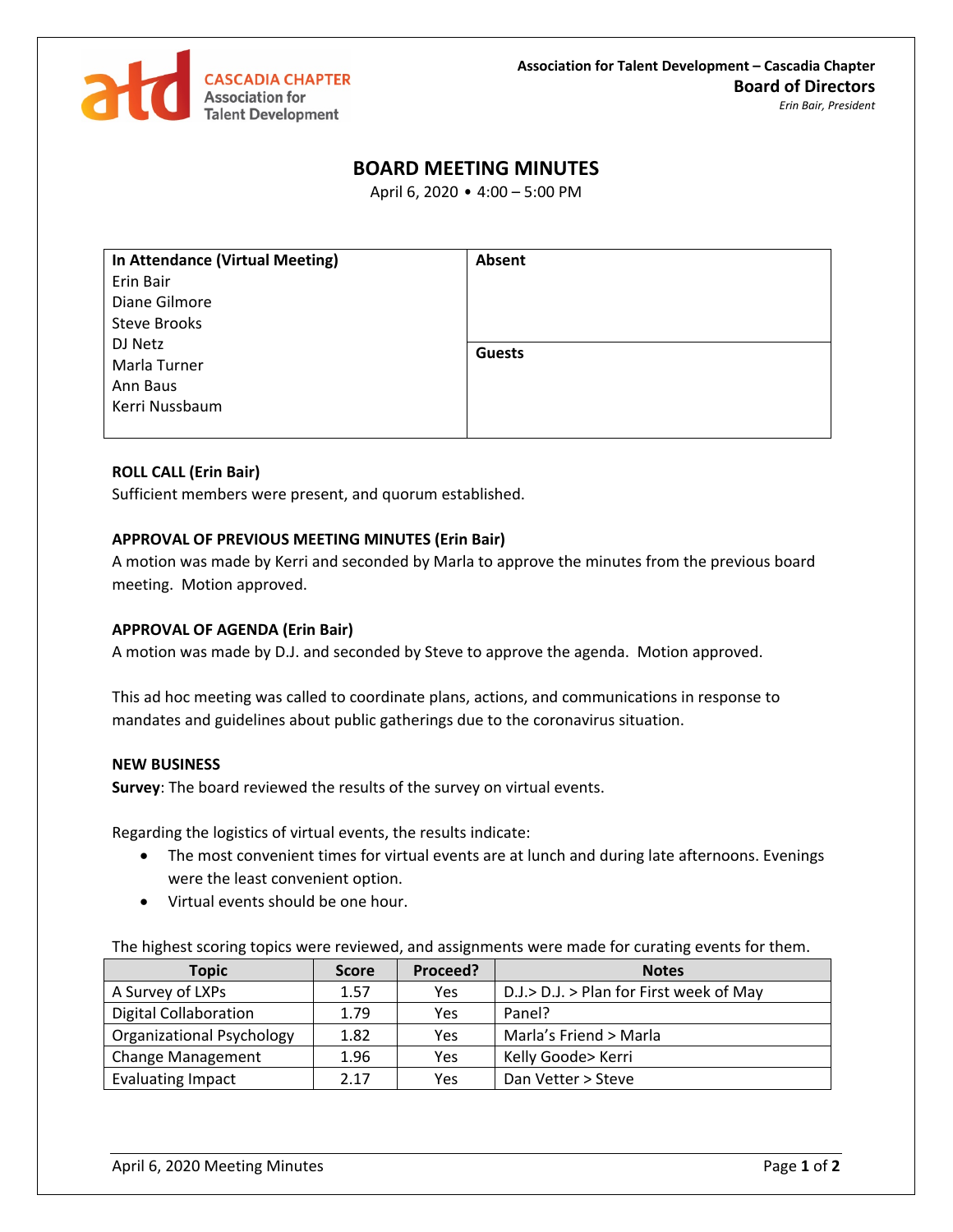

# **BOARD MEETING MINUTES**

April 6, 2020 • 4:00 – 5:00 PM

| In Attendance (Virtual Meeting) | Absent        |
|---------------------------------|---------------|
| Erin Bair                       |               |
| Diane Gilmore                   |               |
| <b>Steve Brooks</b>             |               |
| DJ Netz                         | <b>Guests</b> |
| Marla Turner                    |               |
| Ann Baus                        |               |
| Kerri Nussbaum                  |               |
|                                 |               |

### **ROLL CALL (Erin Bair)**

Sufficient members were present, and quorum established.

## **APPROVAL OF PREVIOUS MEETING MINUTES (Erin Bair)**

A motion was made by Kerri and seconded by Marla to approve the minutes from the previous board meeting. Motion approved.

#### **APPROVAL OF AGENDA (Erin Bair)**

A motion was made by D.J. and seconded by Steve to approve the agenda. Motion approved.

This ad hoc meeting was called to coordinate plans, actions, and communications in response to mandates and guidelines about public gatherings due to the coronavirus situation.

#### **NEW BUSINESS**

**Survey**: The board reviewed the results of the survey on virtual events.

Regarding the logistics of virtual events, the results indicate:

- The most convenient times for virtual events are at lunch and during late afternoons. Evenings were the least convenient option.
- Virtual events should be one hour.

The highest scoring topics were reviewed, and assignments were made for curating events for them.

| <b>Topic</b>                     | <b>Score</b> | Proceed? | <b>Notes</b>                            |
|----------------------------------|--------------|----------|-----------------------------------------|
| A Survey of LXPs                 | 1.57         | Yes      | D.J.> D.J. > Plan for First week of May |
| <b>Digital Collaboration</b>     | 1.79         | Yes      | Panel?                                  |
| <b>Organizational Psychology</b> | 1.82         | Yes      | Marla's Friend > Marla                  |
| <b>Change Management</b>         | 1.96         | Yes      | Kelly Goode> Kerri                      |
| <b>Evaluating Impact</b>         | 2.17         | Yes      | Dan Vetter > Steve                      |